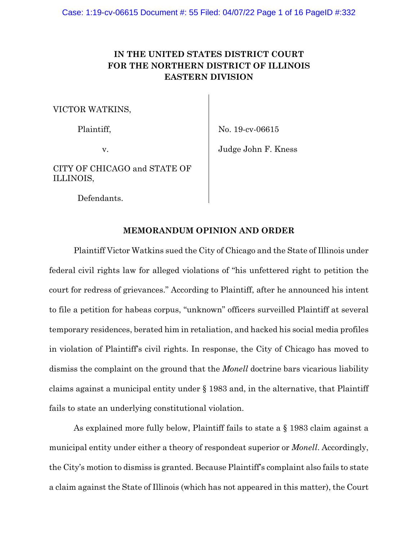# **IN THE UNITED STATES DISTRICT COURT FOR THE NORTHERN DISTRICT OF ILLINOIS EASTERN DIVISION**

VICTOR WATKINS,

Plaintiff,

v.

No. 19-cv-06615

Judge John F. Kness

CITY OF CHICAGO and STATE OF ILLINOIS,

Defendants.

#### **MEMORANDUM OPINION AND ORDER**

Plaintiff Victor Watkins sued the City of Chicago and the State of Illinois under federal civil rights law for alleged violations of "his unfettered right to petition the court for redress of grievances." According to Plaintiff, after he announced his intent to file a petition for habeas corpus, "unknown" officers surveilled Plaintiff at several temporary residences, berated him in retaliation, and hacked his social media profiles in violation of Plaintiff's civil rights. In response, the City of Chicago has moved to dismiss the complaint on the ground that the *Monell* doctrine bars vicarious liability claims against a municipal entity under § 1983 and, in the alternative, that Plaintiff fails to state an underlying constitutional violation.

As explained more fully below, Plaintiff fails to state a § 1983 claim against a municipal entity under either a theory of respondeat superior or *Monell*. Accordingly, the City's motion to dismiss is granted. Because Plaintiff's complaint also fails to state a claim against the State of Illinois (which has not appeared in this matter), the Court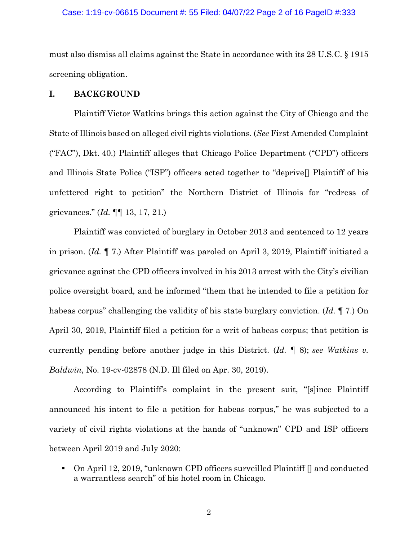#### Case: 1:19-cv-06615 Document #: 55 Filed: 04/07/22 Page 2 of 16 PageID #:333

must also dismiss all claims against the State in accordance with its 28 U.S.C. § 1915 screening obligation.

### **I. BACKGROUND**

 Plaintiff Victor Watkins brings this action against the City of Chicago and the State of Illinois based on alleged civil rights violations. (*See* First Amended Complaint ("FAC"), Dkt. 40.) Plaintiff alleges that Chicago Police Department ("CPD") officers and Illinois State Police ("ISP") officers acted together to "deprive[] Plaintiff of his unfettered right to petition" the Northern District of Illinois for "redress of grievances." (*Id.* ¶¶ 13, 17, 21.)

 Plaintiff was convicted of burglary in October 2013 and sentenced to 12 years in prison. (*Id.* ¶ 7.) After Plaintiff was paroled on April 3, 2019, Plaintiff initiated a grievance against the CPD officers involved in his 2013 arrest with the City's civilian police oversight board, and he informed "them that he intended to file a petition for habeas corpus" challenging the validity of his state burglary conviction. (*Id.* ¶ 7.) On April 30, 2019, Plaintiff filed a petition for a writ of habeas corpus; that petition is currently pending before another judge in this District. (*Id.* ¶ 8); *see Watkins v. Baldwin*, No. 19-cv-02878 (N.D. Ill filed on Apr. 30, 2019).

 According to Plaintiff's complaint in the present suit, "[s]ince Plaintiff announced his intent to file a petition for habeas corpus," he was subjected to a variety of civil rights violations at the hands of "unknown" CPD and ISP officers between April 2019 and July 2020:

 On April 12, 2019, "unknown CPD officers surveilled Plaintiff [] and conducted a warrantless search" of his hotel room in Chicago.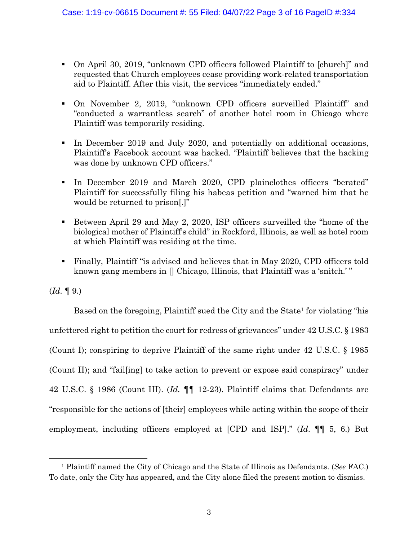- On April 30, 2019, "unknown CPD officers followed Plaintiff to [church]" and requested that Church employees cease providing work-related transportation aid to Plaintiff. After this visit, the services "immediately ended."
- On November 2, 2019, "unknown CPD officers surveilled Plaintiff" and "conducted a warrantless search" of another hotel room in Chicago where Plaintiff was temporarily residing.
- In December 2019 and July 2020, and potentially on additional occasions, Plaintiff's Facebook account was hacked. "Plaintiff believes that the hacking was done by unknown CPD officers."
- In December 2019 and March 2020, CPD plainclothes officers "berated" Plaintiff for successfully filing his habeas petition and "warned him that he would be returned to prison[.]"
- Between April 29 and May 2, 2020, ISP officers surveilled the "home of the biological mother of Plaintiff's child" in Rockford, Illinois, as well as hotel room at which Plaintiff was residing at the time.
- Finally, Plaintiff "is advised and believes that in May 2020, CPD officers told known gang members in  $\Box$  Chicago, Illinois, that Plaintiff was a 'snitch.' "

 $(Id. \P 9.)$ 

Based on the foregoing, Plaintiff sued the City and the State<sup>1</sup> for violating "his unfettered right to petition the court for redress of grievances" under 42 U.S.C. § 1983 (Count I); conspiring to deprive Plaintiff of the same right under 42 U.S.C. § 1985 (Count II); and "fail[ing] to take action to prevent or expose said conspiracy" under 42 U.S.C. § 1986 (Count III). (*Id. ¶¶* 12-23). Plaintiff claims that Defendants are "responsible for the actions of [their] employees while acting within the scope of their employment, including officers employed at [CPD and ISP]." (*Id*. ¶¶ 5, 6.) But

<sup>1</sup> Plaintiff named the City of Chicago and the State of Illinois as Defendants. (*See* FAC.) To date, only the City has appeared, and the City alone filed the present motion to dismiss.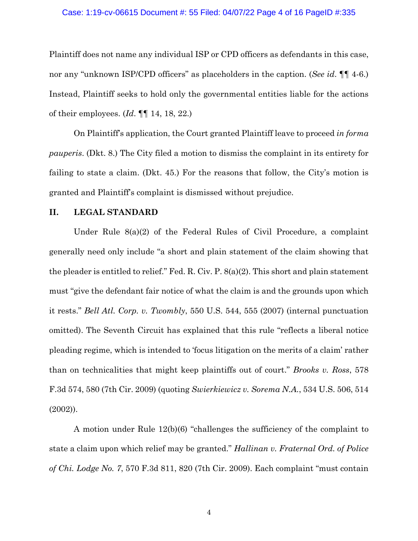#### Case: 1:19-cv-06615 Document #: 55 Filed: 04/07/22 Page 4 of 16 PageID #:335

Plaintiff does not name any individual ISP or CPD officers as defendants in this case, nor any "unknown ISP/CPD officers" as placeholders in the caption. (*See id*. ¶¶ 4-6.) Instead, Plaintiff seeks to hold only the governmental entities liable for the actions of their employees. (*Id*. ¶¶ 14, 18, 22.)

On Plaintiff's application, the Court granted Plaintiff leave to proceed *in forma pauperis*. (Dkt. 8.) The City filed a motion to dismiss the complaint in its entirety for failing to state a claim. (Dkt. 45.) For the reasons that follow, the City's motion is granted and Plaintiff's complaint is dismissed without prejudice.

## **II. LEGAL STANDARD**

Under Rule 8(a)(2) of the Federal Rules of Civil Procedure, a complaint generally need only include "a short and plain statement of the claim showing that the pleader is entitled to relief." Fed. R. Civ. P. 8(a)(2). This short and plain statement must "give the defendant fair notice of what the claim is and the grounds upon which it rests." *Bell Atl. Corp. v. Twombly*, 550 U.S. 544, 555 (2007) (internal punctuation omitted). The Seventh Circuit has explained that this rule "reflects a liberal notice pleading regime, which is intended to 'focus litigation on the merits of a claim' rather than on technicalities that might keep plaintiffs out of court." *Brooks v. Ross*, 578 F.3d 574, 580 (7th Cir. 2009) (quoting *Swierkiewicz v. Sorema N.A.*, 534 U.S. 506, 514 (2002)).

A motion under Rule 12(b)(6) "challenges the sufficiency of the complaint to state a claim upon which relief may be granted." *Hallinan v. Fraternal Ord. of Police of Chi. Lodge No. 7*, 570 F.3d 811, 820 (7th Cir. 2009). Each complaint "must contain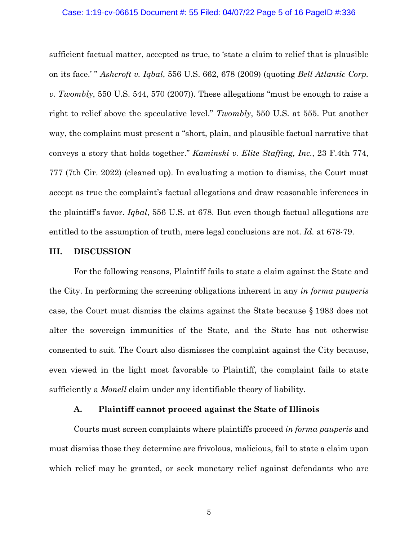#### Case: 1:19-cv-06615 Document #: 55 Filed: 04/07/22 Page 5 of 16 PageID #:336

sufficient factual matter, accepted as true, to 'state a claim to relief that is plausible on its face.' " *Ashcroft v. Iqbal*, 556 U.S. 662, 678 (2009) (quoting *Bell Atlantic Corp. v. Twombly*, 550 U.S. 544, 570 (2007)). These allegations "must be enough to raise a right to relief above the speculative level." *Twombly*, 550 U.S. at 555. Put another way, the complaint must present a "short, plain, and plausible factual narrative that conveys a story that holds together." *Kaminski v. Elite Staffing, Inc.*, 23 F.4th 774, 777 (7th Cir. 2022) (cleaned up). In evaluating a motion to dismiss, the Court must accept as true the complaint's factual allegations and draw reasonable inferences in the plaintiff's favor. *Iqbal*, 556 U.S. at 678. But even though factual allegations are entitled to the assumption of truth, mere legal conclusions are not. *Id.* at 678-79.

#### **III. DISCUSSION**

For the following reasons, Plaintiff fails to state a claim against the State and the City. In performing the screening obligations inherent in any *in forma pauperis* case, the Court must dismiss the claims against the State because § 1983 does not alter the sovereign immunities of the State, and the State has not otherwise consented to suit. The Court also dismisses the complaint against the City because, even viewed in the light most favorable to Plaintiff, the complaint fails to state sufficiently a *Monell* claim under any identifiable theory of liability.

#### **A. Plaintiff cannot proceed against the State of Illinois**

Courts must screen complaints where plaintiffs proceed *in forma pauperis* and must dismiss those they determine are frivolous, malicious, fail to state a claim upon which relief may be granted, or seek monetary relief against defendants who are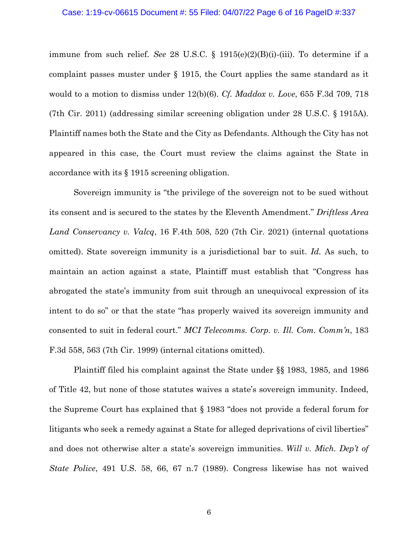### Case: 1:19-cv-06615 Document #: 55 Filed: 04/07/22 Page 6 of 16 PageID #:337

immune from such relief. *See* 28 U.S.C. § 1915(e)(2)(B)(i)-(iii). To determine if a complaint passes muster under § 1915, the Court applies the same standard as it would to a motion to dismiss under 12(b)(6). *Cf. Maddox v. Love*, 655 F.3d 709, 718 (7th Cir. 2011) (addressing similar screening obligation under 28 U.S.C. § 1915A). Plaintiff names both the State and the City as Defendants. Although the City has not appeared in this case, the Court must review the claims against the State in accordance with its § 1915 screening obligation.

Sovereign immunity is "the privilege of the sovereign not to be sued without its consent and is secured to the states by the Eleventh Amendment." *Driftless Area Land Conservancy v. Valcq*, 16 F.4th 508, 520 (7th Cir. 2021) (internal quotations omitted). State sovereign immunity is a jurisdictional bar to suit. *Id.* As such, to maintain an action against a state, Plaintiff must establish that "Congress has abrogated the state's immunity from suit through an unequivocal expression of its intent to do so" or that the state "has properly waived its sovereign immunity and consented to suit in federal court." *MCI Telecomms. Corp. v. Ill. Com. Comm'n*, 183 F.3d 558, 563 (7th Cir. 1999) (internal citations omitted).

Plaintiff filed his complaint against the State under §§ 1983, 1985, and 1986 of Title 42, but none of those statutes waives a state's sovereign immunity. Indeed, the Supreme Court has explained that § 1983 "does not provide a federal forum for litigants who seek a remedy against a State for alleged deprivations of civil liberties" and does not otherwise alter a state's sovereign immunities. *Will v. Mich. Dep't of State Police*, 491 U.S. 58, 66, 67 n.7 (1989). Congress likewise has not waived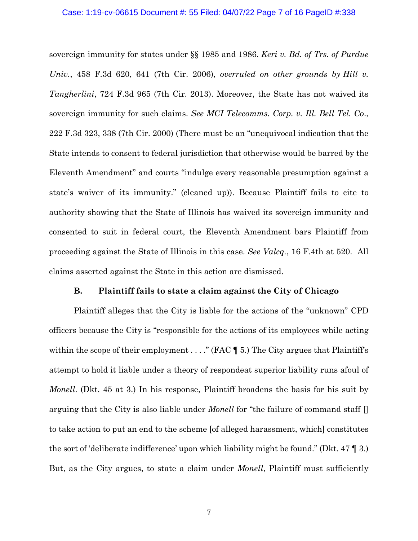### Case: 1:19-cv-06615 Document #: 55 Filed: 04/07/22 Page 7 of 16 PageID #:338

sovereign immunity for states under §§ 1985 and 1986. *Keri v. Bd. of Trs. of Purdue Univ.*, 458 F.3d 620, 641 (7th Cir. 2006), *overruled on other grounds by Hill v. Tangherlini*, 724 F.3d 965 (7th Cir. 2013). Moreover, the State has not waived its sovereign immunity for such claims. *See MCI Telecomms. Corp. v. Ill. Bell Tel. Co*., 222 F.3d 323, 338 (7th Cir. 2000) (There must be an "unequivocal indication that the State intends to consent to federal jurisdiction that otherwise would be barred by the Eleventh Amendment" and courts "indulge every reasonable presumption against a state's waiver of its immunity." (cleaned up)). Because Plaintiff fails to cite to authority showing that the State of Illinois has waived its sovereign immunity and consented to suit in federal court, the Eleventh Amendment bars Plaintiff from proceeding against the State of Illinois in this case. *See Valcq.*, 16 F.4th at 520. All claims asserted against the State in this action are dismissed.

## **B. Plaintiff fails to state a claim against the City of Chicago**

Plaintiff alleges that the City is liable for the actions of the "unknown" CPD officers because the City is "responsible for the actions of its employees while acting within the scope of their employment  $\dots$ ." (FAC  $\P$  5.) The City argues that Plaintiff's attempt to hold it liable under a theory of respondeat superior liability runs afoul of *Monell.* (Dkt. 45 at 3.) In his response, Plaintiff broadens the basis for his suit by arguing that the City is also liable under *Monell* for "the failure of command staff [] to take action to put an end to the scheme [of alleged harassment, which] constitutes the sort of 'deliberate indifference' upon which liability might be found." (Dkt. 47 ¶ 3.) But, as the City argues, to state a claim under *Monell*, Plaintiff must sufficiently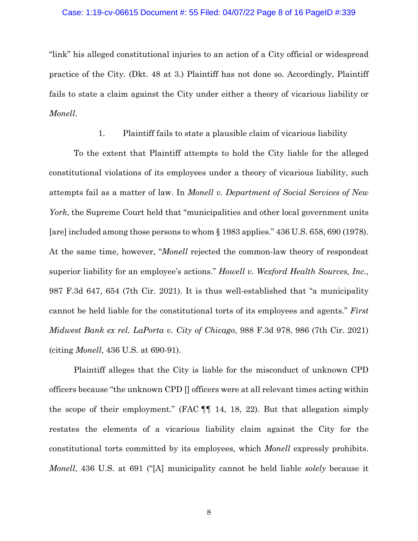### Case: 1:19-cv-06615 Document #: 55 Filed: 04/07/22 Page 8 of 16 PageID #:339

"link" his alleged constitutional injuries to an action of a City official or widespread practice of the City. (Dkt. 48 at 3.) Plaintiff has not done so. Accordingly, Plaintiff fails to state a claim against the City under either a theory of vicarious liability or *Monell*.

1. Plaintiff fails to state a plausible claim of vicarious liability

To the extent that Plaintiff attempts to hold the City liable for the alleged constitutional violations of its employees under a theory of vicarious liability, such attempts fail as a matter of law. In *Monell v. Department of Social Services of New York*, the Supreme Court held that "municipalities and other local government units [are] included among those persons to whom § 1983 applies." 436 U.S. 658, 690 (1978). At the same time, however, "*Monell* rejected the common-law theory of respondeat superior liability for an employee's actions." *Howell v. Wexford Health Sources, Inc.*, 987 F.3d 647, 654 (7th Cir. 2021). It is thus well-established that "a municipality cannot be held liable for the constitutional torts of its employees and agents." *First Midwest Bank ex rel. LaPorta v. City of Chicago*, 988 F.3d 978, 986 (7th Cir. 2021) (citing *Monell*, 436 U.S. at 690-91).

Plaintiff alleges that the City is liable for the misconduct of unknown CPD officers because "the unknown CPD [] officers were at all relevant times acting within the scope of their employment." (FAC ¶¶ 14, 18, 22). But that allegation simply restates the elements of a vicarious liability claim against the City for the constitutional torts committed by its employees, which *Monell* expressly prohibits. *Monell*, 436 U.S. at 691 ("[A] municipality cannot be held liable *solely* because it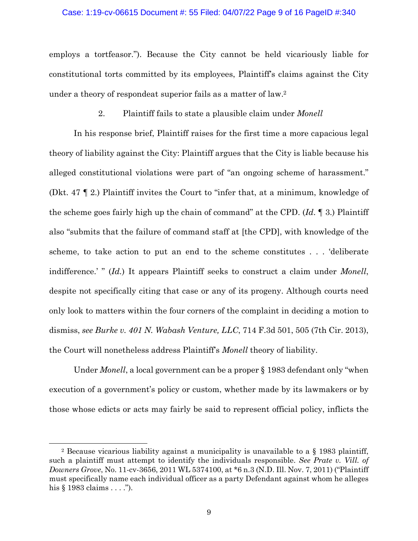### Case: 1:19-cv-06615 Document #: 55 Filed: 04/07/22 Page 9 of 16 PageID #:340

employs a tortfeasor."). Because the City cannot be held vicariously liable for constitutional torts committed by its employees, Plaintiff's claims against the City under a theory of respondeat superior fails as a matter of law.2

2. Plaintiff fails to state a plausible claim under *Monell*

In his response brief, Plaintiff raises for the first time a more capacious legal theory of liability against the City: Plaintiff argues that the City is liable because his alleged constitutional violations were part of "an ongoing scheme of harassment." (Dkt. 47 ¶ 2.) Plaintiff invites the Court to "infer that, at a minimum, knowledge of the scheme goes fairly high up the chain of command" at the CPD. (*Id*. ¶ 3.) Plaintiff also "submits that the failure of command staff at [the CPD], with knowledge of the scheme, to take action to put an end to the scheme constitutes . . . 'deliberate indifference.' " (*Id.*) It appears Plaintiff seeks to construct a claim under *Monell*, despite not specifically citing that case or any of its progeny. Although courts need only look to matters within the four corners of the complaint in deciding a motion to dismiss, *see Burke v. 401 N. Wabash Venture, LLC*, 714 F.3d 501, 505 (7th Cir. 2013), the Court will nonetheless address Plaintiff's *Monell* theory of liability.

Under *Monell*, a local government can be a proper § 1983 defendant only "when execution of a government's policy or custom, whether made by its lawmakers or by those whose edicts or acts may fairly be said to represent official policy, inflicts the

<sup>&</sup>lt;sup>2</sup> Because vicarious liability against a municipality is unavailable to a  $\S$  1983 plaintiff, such a plaintiff must attempt to identify the individuals responsible. *See Prate v. Vill. of Downers Grove*, No. 11-cv-3656, 2011 WL 5374100, at \*6 n.3 (N.D. Ill. Nov. 7, 2011) ("Plaintiff must specifically name each individual officer as a party Defendant against whom he alleges his § 1983 claims . . . .").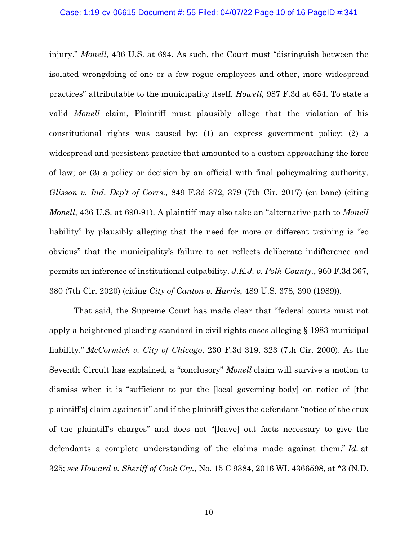injury." *Monell*, 436 U.S. at 694. As such, the Court must "distinguish between the isolated wrongdoing of one or a few rogue employees and other, more widespread practices" attributable to the municipality itself. *Howell,* 987 F.3d at 654. To state a valid *Monell* claim, Plaintiff must plausibly allege that the violation of his constitutional rights was caused by: (1) an express government policy; (2) a widespread and persistent practice that amounted to a custom approaching the force of law; or (3) a policy or decision by an official with final policymaking authority. *Glisson v. Ind. Dep't of Corrs.*, 849 F.3d 372, 379 (7th Cir. 2017) (en banc) (citing *Monell*, 436 U.S. at 690-91). A plaintiff may also take an "alternative path to *Monell* liability" by plausibly alleging that the need for more or different training is "so obvious" that the municipality's failure to act reflects deliberate indifference and permits an inference of institutional culpability. *J.K.J. v. Polk-County.*, 960 F.3d 367, 380 (7th Cir. 2020) (citing *City of Canton v. Harris*, 489 U.S. 378, 390 (1989)).

That said, the Supreme Court has made clear that "federal courts must not apply a heightened pleading standard in civil rights cases alleging § 1983 municipal liability." *McCormick v. City of Chicago*, 230 F.3d 319, 323 (7th Cir. 2000). As the Seventh Circuit has explained, a "conclusory" *Monell* claim will survive a motion to dismiss when it is "sufficient to put the [local governing body] on notice of [the plaintiff's] claim against it" and if the plaintiff gives the defendant "notice of the crux of the plaintiff's charges" and does not "[leave] out facts necessary to give the defendants a complete understanding of the claims made against them." *Id.* at 325; *see Howard v. Sheriff of Cook Cty.*, No. 15 C 9384, 2016 WL 4366598, at \*3 (N.D.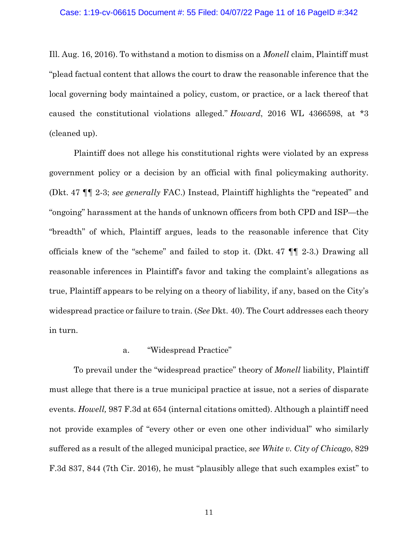### Case: 1:19-cv-06615 Document #: 55 Filed: 04/07/22 Page 11 of 16 PageID #:342

Ill. Aug. 16, 2016). To withstand a motion to dismiss on a *Monell* claim, Plaintiff must "plead factual content that allows the court to draw the reasonable inference that the local governing body maintained a policy, custom, or practice, or a lack thereof that caused the constitutional violations alleged." *Howard*, 2016 WL 4366598, at \*3 (cleaned up).

Plaintiff does not allege his constitutional rights were violated by an express government policy or a decision by an official with final policymaking authority. (Dkt. 47 ¶¶ 2-3; *see generally* FAC.) Instead, Plaintiff highlights the "repeated" and "ongoing" harassment at the hands of unknown officers from both CPD and ISP—the "breadth" of which, Plaintiff argues, leads to the reasonable inference that City officials knew of the "scheme" and failed to stop it. (Dkt. 47 ¶¶ 2-3.) Drawing all reasonable inferences in Plaintiff's favor and taking the complaint's allegations as true, Plaintiff appears to be relying on a theory of liability, if any, based on the City's widespread practice or failure to train. (*See* Dkt. 40). The Court addresses each theory in turn.

# a. "Widespread Practice"

To prevail under the "widespread practice" theory of *Monell* liability, Plaintiff must allege that there is a true municipal practice at issue, not a series of disparate events. *Howell,* 987 F.3d at 654 (internal citations omitted). Although a plaintiff need not provide examples of "every other or even one other individual" who similarly suffered as a result of the alleged municipal practice, *see White v. City of Chicago*, 829 F.3d 837, 844 (7th Cir. 2016), he must "plausibly allege that such examples exist" to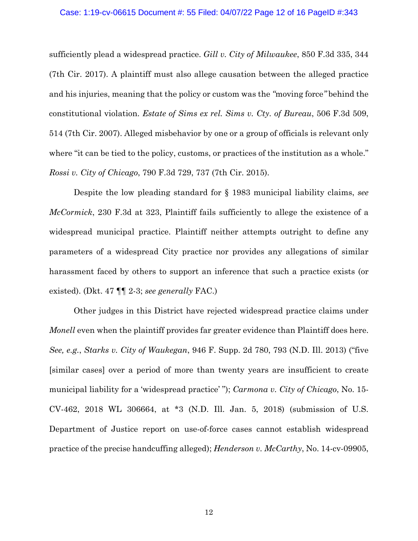#### Case: 1:19-cv-06615 Document #: 55 Filed: 04/07/22 Page 12 of 16 PageID #:343

sufficiently plead a widespread practice. *Gill v. City of Milwaukee*, 850 F.3d 335, 344 (7th Cir. 2017). A plaintiff must also allege causation between the alleged practice and his injuries, meaning that the policy or custom was the *"*moving force*"* behind the constitutional violation. *Estate of Sims ex rel. Sims v. Cty. of Bureau*, 506 F.3d 509, 514 (7th Cir. 2007). Alleged misbehavior by one or a group of officials is relevant only where "it can be tied to the policy, customs, or practices of the institution as a whole." *Rossi v. City of Chicago*, 790 F.3d 729, 737 (7th Cir. 2015).

Despite the low pleading standard for § 1983 municipal liability claims, *see McCormick*, 230 F.3d at 323, Plaintiff fails sufficiently to allege the existence of a widespread municipal practice. Plaintiff neither attempts outright to define any parameters of a widespread City practice nor provides any allegations of similar harassment faced by others to support an inference that such a practice exists (or existed). (Dkt. 47 ¶¶ 2-3; *see generally* FAC.)

Other judges in this District have rejected widespread practice claims under *Monell* even when the plaintiff provides far greater evidence than Plaintiff does here. *See, e.g.*, *Starks v. City of Waukegan*, 946 F. Supp. 2d 780, 793 (N.D. Ill. 2013) ("five [similar cases] over a period of more than twenty years are insufficient to create municipal liability for a 'widespread practice' "); *Carmona v. City of Chicago*, No. 15- CV-462, 2018 WL 306664, at \*3 (N.D. Ill. Jan. 5, 2018) (submission of U.S. Department of Justice report on use-of-force cases cannot establish widespread practice of the precise handcuffing alleged); *Henderson v. McCarthy*, No. 14-cv-09905,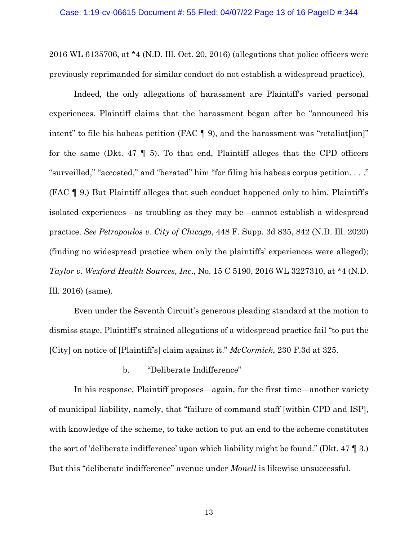2016 WL 6135706, at \*4 (N.D. Ill. Oct. 20, 2016) (allegations that police officers were previously reprimanded for similar conduct do not establish a widespread practice).

Indeed, the only allegations of harassment are Plaintiff's varied personal experiences. Plaintiff claims that the harassment began after he "announced his intent" to file his habeas petition (FAC ¶ 9), and the harassment was "retaliat[ion]" for the same (Dkt. 47  $\parallel$  5). To that end, Plaintiff alleges that the CPD officers "surveilled," "accosted," and "berated" him "for filing his habeas corpus petition. . . ." (FAC ¶ 9.) But Plaintiff alleges that such conduct happened only to him. Plaintiff's isolated experiences—as troubling as they may be—cannot establish a widespread practice. *See Petropoulos v. City of Chicago*, 448 F. Supp. 3d 835, 842 (N.D. Ill. 2020) (finding no widespread practice when only the plaintiffs' experiences were alleged); *Taylor v. Wexford Health Sources, Inc*., No. 15 C 5190, 2016 WL 3227310, at \*4 (N.D. Ill. 2016) (same).

Even under the Seventh Circuit's generous pleading standard at the motion to dismiss stage, Plaintiff's strained allegations of a widespread practice fail "to put the [City] on notice of [Plaintiff's] claim against it." *McCormick*, 230 F.3d at 325.

b. "Deliberate Indifference"

In his response, Plaintiff proposes—again, for the first time—another variety of municipal liability, namely, that "failure of command staff [within CPD and ISP], with knowledge of the scheme, to take action to put an end to the scheme constitutes the sort of 'deliberate indifference' upon which liability might be found." (Dkt. 47 ¶ 3.) But this "deliberate indifference" avenue under *Monell* is likewise unsuccessful.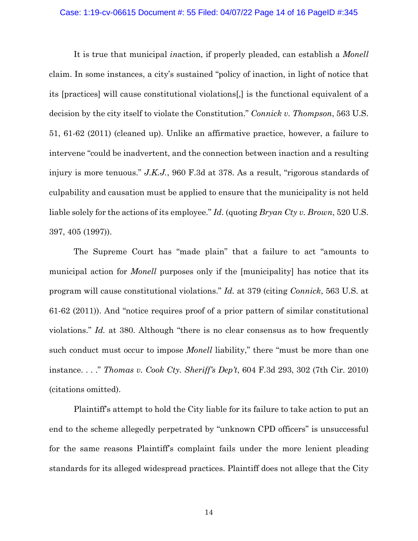#### Case: 1:19-cv-06615 Document #: 55 Filed: 04/07/22 Page 14 of 16 PageID #:345

It is true that municipal *in*action, if properly pleaded, can establish a *Monell* claim. In some instances, a city's sustained "policy of inaction, in light of notice that its [practices] will cause constitutional violations[,] is the functional equivalent of a decision by the city itself to violate the Constitution." *Connick v. Thompson*, 563 U.S. 51, 61-62 (2011) (cleaned up). Unlike an affirmative practice, however, a failure to intervene "could be inadvertent, and the connection between inaction and a resulting injury is more tenuous." *J.K.J.*, 960 F.3d at 378. As a result, "rigorous standards of culpability and causation must be applied to ensure that the municipality is not held liable solely for the actions of its employee." *Id*. (quoting *Bryan Cty v. Brown*, 520 U.S. 397, 405 (1997)).

The Supreme Court has "made plain" that a failure to act "amounts to municipal action for *Monell* purposes only if the [municipality] has notice that its program will cause constitutional violations." *Id.* at 379 (citing *Connick*, 563 U.S. at 61-62 (2011)). And "notice requires proof of a prior pattern of similar constitutional violations." *Id.* at 380. Although "there is no clear consensus as to how frequently such conduct must occur to impose *Monell* liability," there "must be more than one instance. . . ." *Thomas v. Cook Cty. Sheriff's Dep't*, 604 F.3d 293, 302 (7th Cir. 2010) (citations omitted).

Plaintiff's attempt to hold the City liable for its failure to take action to put an end to the scheme allegedly perpetrated by "unknown CPD officers" is unsuccessful for the same reasons Plaintiff's complaint fails under the more lenient pleading standards for its alleged widespread practices. Plaintiff does not allege that the City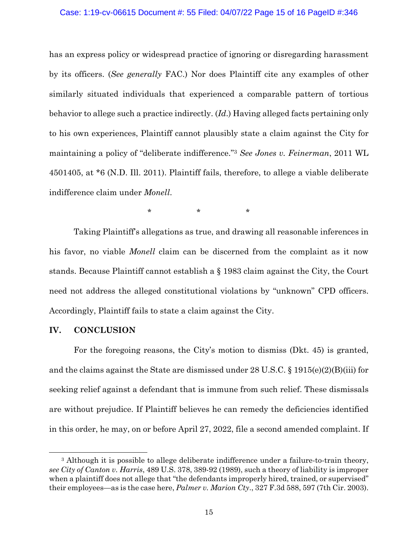#### Case: 1:19-cv-06615 Document #: 55 Filed: 04/07/22 Page 15 of 16 PageID #:346

has an express policy or widespread practice of ignoring or disregarding harassment by its officers. (*See generally* FAC.) Nor does Plaintiff cite any examples of other similarly situated individuals that experienced a comparable pattern of tortious behavior to allege such a practice indirectly. (*Id*.) Having alleged facts pertaining only to his own experiences, Plaintiff cannot plausibly state a claim against the City for maintaining a policy of "deliberate indifference."3 *See Jones v. Feinerman*, 2011 WL 4501405, at \*6 (N.D. Ill. 2011). Plaintiff fails, therefore, to allege a viable deliberate indifference claim under *Monell*.

 $\star$   $\star$   $\star$   $\star$ 

Taking Plaintiff's allegations as true, and drawing all reasonable inferences in his favor, no viable *Monell* claim can be discerned from the complaint as it now stands. Because Plaintiff cannot establish a § 1983 claim against the City, the Court need not address the alleged constitutional violations by "unknown" CPD officers. Accordingly, Plaintiff fails to state a claim against the City.

# **IV. CONCLUSION**

For the foregoing reasons, the City's motion to dismiss (Dkt. 45) is granted, and the claims against the State are dismissed under 28 U.S.C. § 1915(e)(2)(B)(iii) for seeking relief against a defendant that is immune from such relief. These dismissals are without prejudice. If Plaintiff believes he can remedy the deficiencies identified in this order, he may, on or before April 27, 2022, file a second amended complaint. If

<sup>&</sup>lt;sup>3</sup> Although it is possible to allege deliberate indifference under a failure-to-train theory, *see City of Canton v. Harris*, 489 U.S. 378, 389-92 (1989), such a theory of liability is improper when a plaintiff does not allege that "the defendants improperly hired, trained, or supervised" their employees—as is the case here, *Palmer v. Marion Cty*., 327 F.3d 588, 597 (7th Cir. 2003).